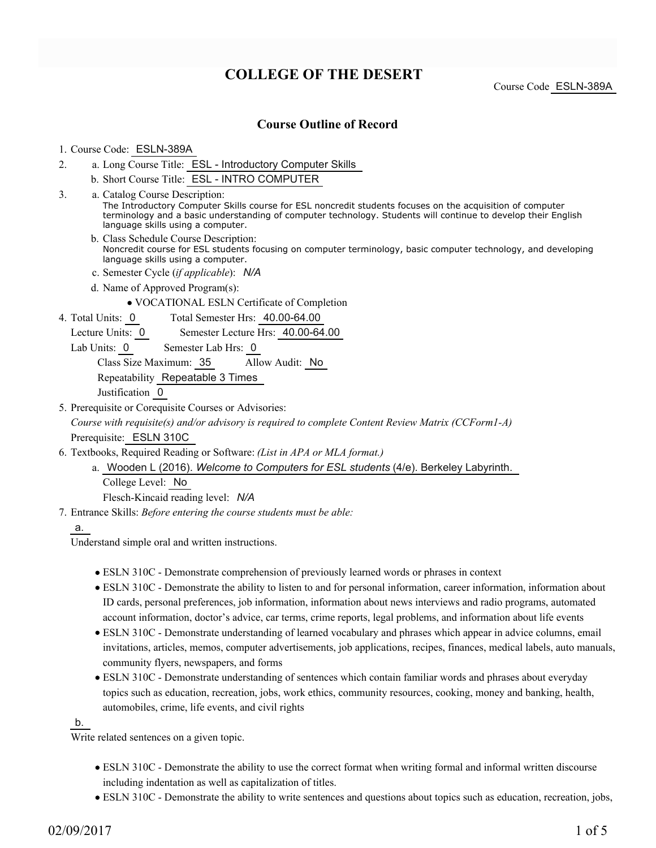# **COLLEGE OF THE DESERT**

Course Code ESLN-389A

## **Course Outline of Record**

#### 1. Course Code: ESLN-389A

- a. Long Course Title: ESL Introductory Computer Skills 2.
	- b. Short Course Title: ESL INTRO COMPUTER
- Catalog Course Description: a. The Introductory Computer Skills course for ESL noncredit students focuses on the acquisition of computer terminology and a basic understanding of computer technology. Students will continue to develop their English language skills using a computer. 3.
	- b. Class Schedule Course Description: Noncredit course for ESL students focusing on computer terminology, basic computer technology, and developing language skills using a computer.
	- c. Semester Cycle (*if applicable*): *N/A*
	- d. Name of Approved Program(s):
		- VOCATIONAL ESLN Certificate of Completion
- Total Semester Hrs: 40.00-64.00 4. Total Units: 0
	- Lecture Units: 0 Semester Lecture Hrs: 40.00-64.00

Lab Units: 0 Semester Lab Hrs: 0

Class Size Maximum: 35 Allow Audit: No

Repeatability Repeatable 3 Times

Justification 0

5. Prerequisite or Corequisite Courses or Advisories:

*Course with requisite(s) and/or advisory is required to complete Content Review Matrix (CCForm1-A)* Prerequisite: ESLN 310C

- Textbooks, Required Reading or Software: *(List in APA or MLA format.)* 6.
	- Wooden L (2016). *Welcome to Computers for ESL students* (4/e). Berkeley Labyrinth. a. College Level: No Flesch-Kincaid reading level: *N/A*
- Entrance Skills: *Before entering the course students must be able:* 7.

a.

Understand simple oral and written instructions.

- ESLN 310C Demonstrate comprehension of previously learned words or phrases in context
- ESLN 310C Demonstrate the ability to listen to and for personal information, career information, information about ID cards, personal preferences, job information, information about news interviews and radio programs, automated account information, doctor's advice, car terms, crime reports, legal problems, and information about life events
- ESLN 310C Demonstrate understanding of learned vocabulary and phrases which appear in advice columns, email invitations, articles, memos, computer advertisements, job applications, recipes, finances, medical labels, auto manuals, community flyers, newspapers, and forms
- ESLN 310C Demonstrate understanding of sentences which contain familiar words and phrases about everyday topics such as education, recreation, jobs, work ethics, community resources, cooking, money and banking, health, automobiles, crime, life events, and civil rights

b.

Write related sentences on a given topic.

- ESLN 310C Demonstrate the ability to use the correct format when writing formal and informal written discourse including indentation as well as capitalization of titles.
- ESLN 310C Demonstrate the ability to write sentences and questions about topics such as education, recreation, jobs,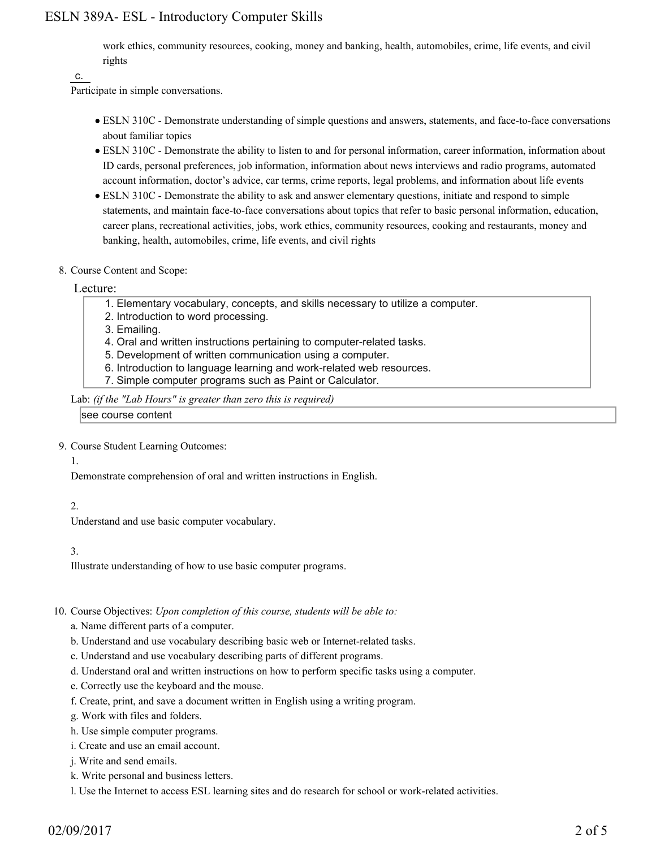## ESLN 389A- ESL - Introductory Computer Skills

work ethics, community resources, cooking, money and banking, health, automobiles, crime, life events, and civil rights

#### c.

Participate in simple conversations.

- ESLN 310C Demonstrate understanding of simple questions and answers, statements, and face-to-face conversations about familiar topics
- ESLN 310C Demonstrate the ability to listen to and for personal information, career information, information about ID cards, personal preferences, job information, information about news interviews and radio programs, automated account information, doctor's advice, car terms, crime reports, legal problems, and information about life events
- ESLN 310C Demonstrate the ability to ask and answer elementary questions, initiate and respond to simple statements, and maintain face-to-face conversations about topics that refer to basic personal information, education, career plans, recreational activities, jobs, work ethics, community resources, cooking and restaurants, money and banking, health, automobiles, crime, life events, and civil rights
- 8. Course Content and Scope:

#### Lecture:

- 1. Elementary vocabulary, concepts, and skills necessary to utilize a computer.
- 2. Introduction to word processing.
- 3. Emailing.
- 4. Oral and written instructions pertaining to computer-related tasks.
- 5. Development of written communication using a computer.
- 6. Introduction to language learning and work-related web resources.
- 7. Simple computer programs such as Paint or Calculator.

Lab: *(if the "Lab Hours" is greater than zero this is required)*

see course content

9. Course Student Learning Outcomes:

#### 1.

Demonstrate comprehension of oral and written instructions in English.

## 2.

Understand and use basic computer vocabulary.

#### 3.

Illustrate understanding of how to use basic computer programs.

#### 10. Course Objectives: Upon completion of this course, students will be able to:

- a. Name different parts of a computer.
- b. Understand and use vocabulary describing basic web or Internet-related tasks.
- c. Understand and use vocabulary describing parts of different programs.
- d. Understand oral and written instructions on how to perform specific tasks using a computer.
- e. Correctly use the keyboard and the mouse.
- f. Create, print, and save a document written in English using a writing program.
- g. Work with files and folders.
- h. Use simple computer programs.
- i. Create and use an email account.
- j. Write and send emails.
- k. Write personal and business letters.
- l. Use the Internet to access ESL learning sites and do research for school or work-related activities.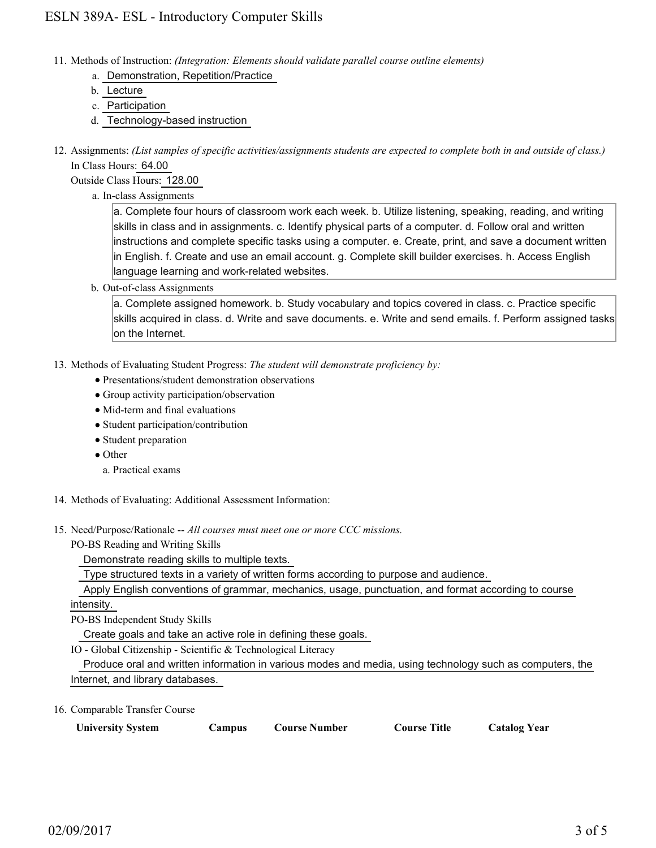- Methods of Instruction: *(Integration: Elements should validate parallel course outline elements)* 11.
	- a. Demonstration, Repetition/Practice
	- b. Lecture
	- c. Participation
	- d. Technology-based instruction
- 12. Assignments: (List samples of specific activities/assignments students are expected to complete both in and outside of class.) In Class Hours: 64.00

Outside Class Hours: 128.00

a. In-class Assignments

a. Complete four hours of classroom work each week. b. Utilize listening, speaking, reading, and writing skills in class and in assignments. c. Identify physical parts of a computer. d. Follow oral and written instructions and complete specific tasks using a computer. e. Create, print, and save a document written in English. f. Create and use an email account. g. Complete skill builder exercises. h. Access English language learning and work-related websites.

b. Out-of-class Assignments

a. Complete assigned homework. b. Study vocabulary and topics covered in class. c. Practice specific skills acquired in class. d. Write and save documents. e. Write and send emails. f. Perform assigned tasks on the Internet.

- 13. Methods of Evaluating Student Progress: The student will demonstrate proficiency by:
	- Presentations/student demonstration observations
	- Group activity participation/observation
	- Mid-term and final evaluations
	- Student participation/contribution
	- Student preparation
	- Other
	- a. Practical exams
- 14. Methods of Evaluating: Additional Assessment Information:
- 15. Need/Purpose/Rationale -- All courses must meet one or more CCC missions.
	- PO-BS Reading and Writing Skills

Demonstrate reading skills to multiple texts.

Type structured texts in a variety of written forms according to purpose and audience.

Apply English conventions of grammar, mechanics, usage, punctuation, and format according to course

intensity.

PO-BS Independent Study Skills

Create goals and take an active role in defining these goals.

IO - Global Citizenship - Scientific & Technological Literacy

 Produce oral and written information in various modes and media, using technology such as computers, the Internet, and library databases.

16. Comparable Transfer Course

| <b>University System</b> | Campus | <b>Course Number</b> | <b>Course Title</b> | <b>Catalog Year</b> |
|--------------------------|--------|----------------------|---------------------|---------------------|
|--------------------------|--------|----------------------|---------------------|---------------------|